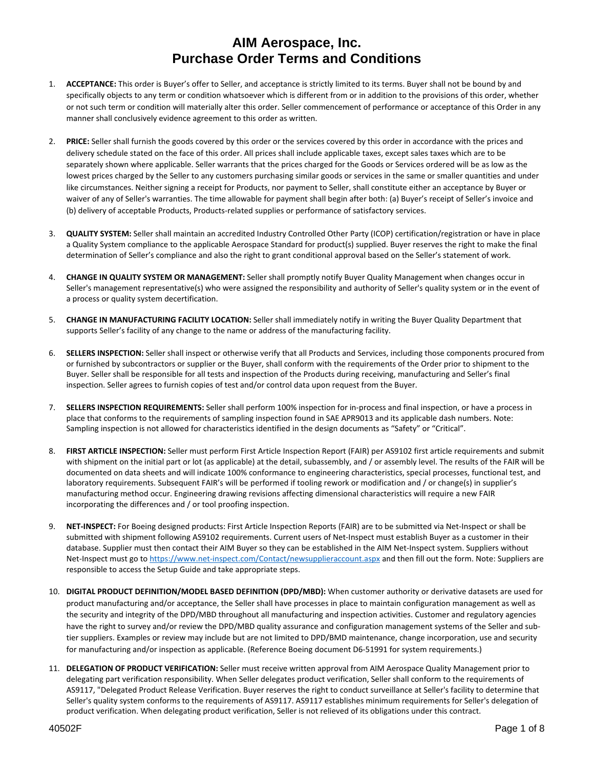- 1. **ACCEPTANCE:** This order is Buyer's offer to Seller, and acceptance is strictly limited to its terms. Buyer shall not be bound by and specifically objects to any term or condition whatsoever which is different from or in addition to the provisions of this order, whether or not such term or condition will materially alter this order. Seller commencement of performance or acceptance of this Order in any manner shall conclusively evidence agreement to this order as written.
- 2. **PRICE:** Seller shall furnish the goods covered by this order or the services covered by this order in accordance with the prices and delivery schedule stated on the face of this order. All prices shall include applicable taxes, except sales taxes which are to be separately shown where applicable. Seller warrants that the prices charged for the Goods or Services ordered will be as low as the lowest prices charged by the Seller to any customers purchasing similar goods or services in the same or smaller quantities and under like circumstances. Neither signing a receipt for Products, nor payment to Seller, shall constitute either an acceptance by Buyer or waiver of any of Seller's warranties. The time allowable for payment shall begin after both: (a) Buyer's receipt of Seller's invoice and (b) delivery of acceptable Products, Products‐related supplies or performance of satisfactory services.
- 3. **QUALITY SYSTEM:** Seller shall maintain an accredited Industry Controlled Other Party (ICOP) certification/registration or have in place a Quality System compliance to the applicable Aerospace Standard for product(s) supplied. Buyer reserves the right to make the final determination of Seller's compliance and also the right to grant conditional approval based on the Seller's statement of work.
- 4. **CHANGE IN QUALITY SYSTEM OR MANAGEMENT:** Seller shall promptly notify Buyer Quality Management when changes occur in Seller's management representative(s) who were assigned the responsibility and authority of Seller's quality system or in the event of a process or quality system decertification.
- 5. **CHANGE IN MANUFACTURING FACILITY LOCATION:** Seller shall immediately notify in writing the Buyer Quality Department that supports Seller's facility of any change to the name or address of the manufacturing facility.
- 6. **SELLERS INSPECTION:** Seller shall inspect or otherwise verify that all Products and Services, including those components procured from or furnished by subcontractors or supplier or the Buyer, shall conform with the requirements of the Order prior to shipment to the Buyer. Seller shall be responsible for all tests and inspection of the Products during receiving, manufacturing and Seller's final inspection. Seller agrees to furnish copies of test and/or control data upon request from the Buyer.
- 7. **SELLERS INSPECTION REQUIREMENTS:** Seller shall perform 100% inspection for in‐process and final inspection, or have a process in place that conforms to the requirements of sampling inspection found in SAE APR9013 and its applicable dash numbers. Note: Sampling inspection is not allowed for characteristics identified in the design documents as "Safety" or "Critical".
- 8. **FIRST ARTICLE INSPECTION:** Seller must perform First Article Inspection Report (FAIR) per AS9102 first article requirements and submit with shipment on the initial part or lot (as applicable) at the detail, subassembly, and / or assembly level. The results of the FAIR will be documented on data sheets and will indicate 100% conformance to engineering characteristics, special processes, functional test, and laboratory requirements. Subsequent FAIR's will be performed if tooling rework or modification and / or change(s) in supplier's manufacturing method occur. Engineering drawing revisions affecting dimensional characteristics will require a new FAIR incorporating the differences and / or tool proofing inspection.
- 9. NET-INSPECT: For Boeing designed products: First Article Inspection Reports (FAIR) are to be submitted via Net-Inspect or shall be submitted with shipment following AS9102 requirements. Current users of Net‐Inspect must establish Buyer as a customer in their database. Supplier must then contact their AIM Buyer so they can be established in the AIM Net-Inspect system. Suppliers without Net-Inspect must go to https://www.net-inspect.com/Contact/newsupplieraccount.aspx and then fill out the form. Note: Suppliers are responsible to access the Setup Guide and take appropriate steps.
- 10. **DIGITAL PRODUCT DEFINITION/MODEL BASED DEFINITION (DPD/MBD):** When customer authority or derivative datasets are used for product manufacturing and/or acceptance, the Seller shall have processes in place to maintain configuration management as well as the security and integrity of the DPD/MBD throughout all manufacturing and inspection activities. Customer and regulatory agencies have the right to survey and/or review the DPD/MBD quality assurance and configuration management systems of the Seller and subtier suppliers. Examples or review may include but are not limited to DPD/BMD maintenance, change incorporation, use and security for manufacturing and/or inspection as applicable. (Reference Boeing document D6‐51991 for system requirements.)
- 11. **DELEGATION OF PRODUCT VERIFICATION:** Seller must receive written approval from AIM Aerospace Quality Management prior to delegating part verification responsibility. When Seller delegates product verification, Seller shall conform to the requirements of AS9117, "Delegated Product Release Verification. Buyer reserves the right to conduct surveillance at Seller's facility to determine that Seller's quality system conforms to the requirements of AS9117. AS9117 establishes minimum requirements for Seller's delegation of product verification. When delegating product verification, Seller is not relieved of its obligations under this contract.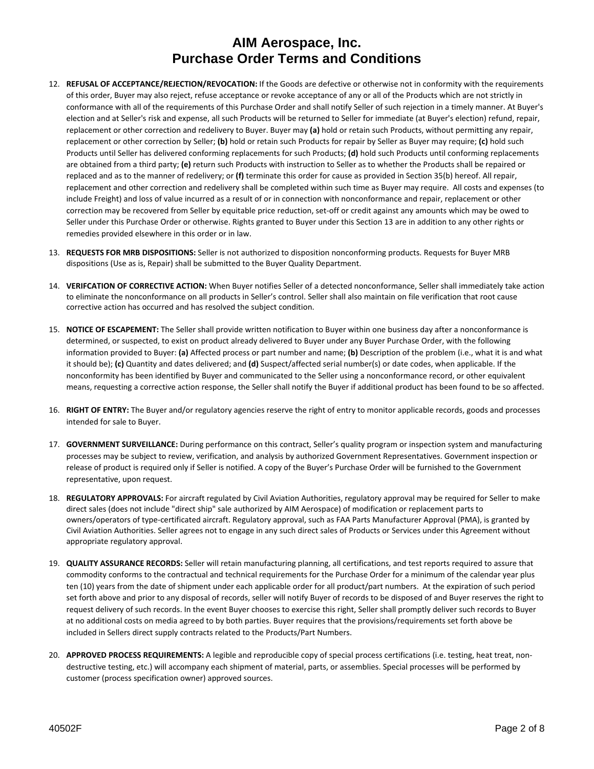- 12. **REFUSAL OF ACCEPTANCE/REJECTION/REVOCATION:** If the Goods are defective or otherwise not in conformity with the requirements of this order, Buyer may also reject, refuse acceptance or revoke acceptance of any or all of the Products which are not strictly in conformance with all of the requirements of this Purchase Order and shall notify Seller of such rejection in a timely manner. At Buyer's election and at Seller's risk and expense, all such Products will be returned to Seller for immediate (at Buyer's election) refund, repair, replacement or other correction and redelivery to Buyer. Buyer may **(a)** hold or retain such Products, without permitting any repair, replacement or other correction by Seller; **(b)** hold or retain such Products for repair by Seller as Buyer may require; **(c)** hold such Products until Seller has delivered conforming replacements for such Products; **(d)** hold such Products until conforming replacements are obtained from a third party; **(e)** return such Products with instruction to Seller as to whether the Products shall be repaired or replaced and as to the manner of redelivery; or **(f)** terminate this order for cause as provided in Section 35(b) hereof. All repair, replacement and other correction and redelivery shall be completed within such time as Buyer may require. All costs and expenses (to include Freight) and loss of value incurred as a result of or in connection with nonconformance and repair, replacement or other correction may be recovered from Seller by equitable price reduction, set‐off or credit against any amounts which may be owed to Seller under this Purchase Order or otherwise. Rights granted to Buyer under this Section 13 are in addition to any other rights or remedies provided elsewhere in this order or in law.
- 13. **REQUESTS FOR MRB DISPOSITIONS:** Seller is not authorized to disposition nonconforming products. Requests for Buyer MRB dispositions (Use as is, Repair) shall be submitted to the Buyer Quality Department.
- 14. **VERIFCATION OF CORRECTIVE ACTION:** When Buyer notifies Seller of a detected nonconformance, Seller shall immediately take action to eliminate the nonconformance on all products in Seller's control. Seller shall also maintain on file verification that root cause corrective action has occurred and has resolved the subject condition.
- 15. **NOTICE OF ESCAPEMENT:** The Seller shall provide written notification to Buyer within one business day after a nonconformance is determined, or suspected, to exist on product already delivered to Buyer under any Buyer Purchase Order, with the following information provided to Buyer: **(a)** Affected process or part number and name; **(b)** Description of the problem (i.e., what it is and what it should be); **(c)** Quantity and dates delivered; and **(d)** Suspect/affected serial number(s) or date codes, when applicable. If the nonconformity has been identified by Buyer and communicated to the Seller using a nonconformance record, or other equivalent means, requesting a corrective action response, the Seller shall notify the Buyer if additional product has been found to be so affected.
- 16. **RIGHT OF ENTRY:** The Buyer and/or regulatory agencies reserve the right of entry to monitor applicable records, goods and processes intended for sale to Buyer.
- 17. **GOVERNMENT SURVEILLANCE:** During performance on this contract, Seller's quality program or inspection system and manufacturing processes may be subject to review, verification, and analysis by authorized Government Representatives. Government inspection or release of product is required only if Seller is notified. A copy of the Buyer's Purchase Order will be furnished to the Government representative, upon request.
- 18. **REGULATORY APPROVALS:** For aircraft regulated by Civil Aviation Authorities, regulatory approval may be required for Seller to make direct sales (does not include "direct ship" sale authorized by AIM Aerospace) of modification or replacement parts to owners/operators of type‐certificated aircraft. Regulatory approval, such as FAA Parts Manufacturer Approval (PMA), is granted by Civil Aviation Authorities. Seller agrees not to engage in any such direct sales of Products or Services under this Agreement without appropriate regulatory approval.
- 19. **QUALITY ASSURANCE RECORDS:** Seller will retain manufacturing planning, all certifications, and test reports required to assure that commodity conforms to the contractual and technical requirements for the Purchase Order for a minimum of the calendar year plus ten (10) years from the date of shipment under each applicable order for all product/part numbers. At the expiration of such period set forth above and prior to any disposal of records, seller will notify Buyer of records to be disposed of and Buyer reserves the right to request delivery of such records. In the event Buyer chooses to exercise this right, Seller shall promptly deliver such records to Buyer at no additional costs on media agreed to by both parties. Buyer requires that the provisions/requirements set forth above be included in Sellers direct supply contracts related to the Products/Part Numbers.
- 20. **APPROVED PROCESS REQUIREMENTS:** A legible and reproducible copy of special process certifications (i.e. testing, heat treat, non‐ destructive testing, etc.) will accompany each shipment of material, parts, or assemblies. Special processes will be performed by customer (process specification owner) approved sources.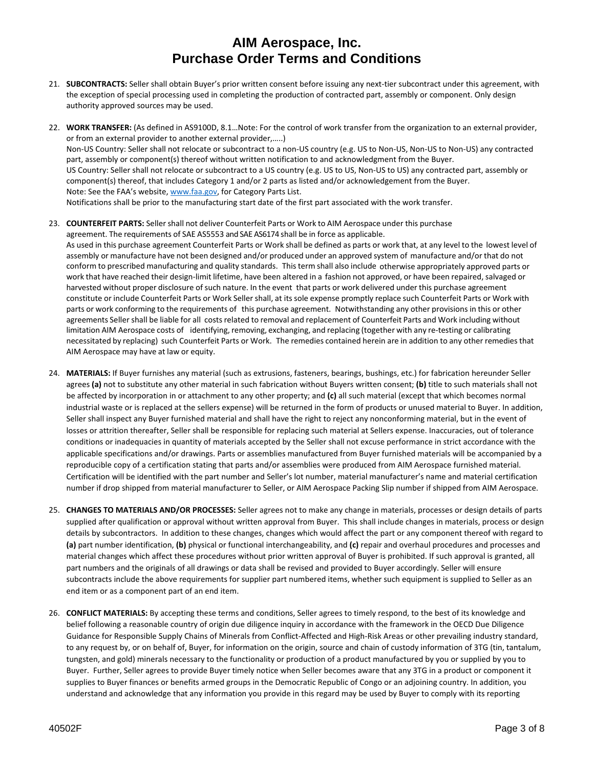- 21. SUBCONTRACTS: Seller shall obtain Buyer's prior written consent before issuing any next-tier subcontract under this agreement, with the exception of special processing used in completing the production of contracted part, assembly or component. Only design authority approved sources may be used.
- 22. **WORK TRANSFER:** (As defined in AS9100D, 8.1…Note: For the control of work transfer from the organization to an external provider, or from an external provider to another external provider,…..) Non‐US Country: Seller shall not relocate or subcontract to a non‐US country (e.g. US to Non‐US, Non‐US to Non‐US) any contracted part, assembly or component(s) thereof without written notification to and acknowledgment from the Buyer. US Country: Seller shall not relocate or subcontract to a US country (e.g. US to US, Non‐US to US) any contracted part, assembly or component(s) thereof, that includes Category 1 and/or 2 parts as listed and/or acknowledgement from the Buyer. Note: See the FAA's website, www.faa.gov, for Category Parts List. Notifications shall be prior to the manufacturing start date of the first part associated with the work transfer.
- 23. **COUNTERFEIT PARTS:** Sellershall not deliver Counterfeit Parts or Work to AIM Aerospace under this purchase agreement. The requirements of SAE AS5553 and SAE AS6174 shall be in force as applicable. As used in this purchase agreement Counterfeit Parts or Work shall be defined as parts or work that, at any level to the lowest level of assembly or manufacture have not been designed and/or produced under an approved system of manufacture and/or that do not conform to prescribed manufacturing and quality standards. Thisterm shall also include otherwise appropriately approved parts or work that have reached their design‐limit lifetime, have been altered in a fashion not approved, or have been repaired, salvaged or harvested without proper disclosure of such nature. In the event that parts or work delivered under this purchase agreement constitute or include Counterfeit Parts or Work Seller shall, at its sole expense promptly replace such Counterfeit Parts or Work with parts or work conforming to the requirements of this purchase agreement. Notwithstanding any other provisions in this or other agreements Seller shall be liable for all costsrelated to removal and replacement of Counterfeit Parts and Work including without limitation AIM Aerospace costs of identifying, removing, exchanging, and replacing (together with any re‐testing or calibrating necessitated by replacing) such Counterfeit Parts or Work. The remedies contained herein are in addition to any other remediesthat AIM Aerospace may have at law or equity.
- 24. **MATERIALS:** If Buyer furnishes any material (such as extrusions, fasteners, bearings, bushings, etc.) for fabrication hereunder Seller agrees **(a)** not to substitute any other material in such fabrication without Buyers written consent; **(b)** title to such materials shall not be affected by incorporation in or attachment to any other property; and **(c)** all such material (except that which becomes normal industrial waste or is replaced at the sellers expense) will be returned in the form of products or unused material to Buyer. In addition, Seller shall inspect any Buyer furnished material and shall have the right to reject any nonconforming material, but in the event of losses or attrition thereafter, Seller shall be responsible for replacing such material at Sellers expense. Inaccuracies, out of tolerance conditions or inadequacies in quantity of materials accepted by the Seller shall not excuse performance in strict accordance with the applicable specifications and/or drawings. Parts or assemblies manufactured from Buyer furnished materials will be accompanied by a reproducible copy of a certification stating that parts and/or assemblies were produced from AIM Aerospace furnished material. Certification will be identified with the part number and Seller's lot number, material manufacturer's name and material certification number if drop shipped from material manufacturer to Seller, or AIM Aerospace Packing Slip number if shipped from AIM Aerospace.
- 25. **CHANGES TO MATERIALS AND/OR PROCESSES:** Seller agrees not to make any change in materials, processes or design details of parts supplied after qualification or approval without written approval from Buyer. This shall include changes in materials, process or design details by subcontractors. In addition to these changes, changes which would affect the part or any component thereof with regard to **(a)** part number identification, **(b)** physical or functional interchangeability, and **(c)** repair and overhaul procedures and processes and material changes which affect these procedures without prior written approval of Buyer is prohibited. If such approval is granted, all part numbers and the originals of all drawings or data shall be revised and provided to Buyer accordingly. Seller will ensure subcontracts include the above requirements for supplier part numbered items, whether such equipment is supplied to Seller as an end item or as a component part of an end item.
- 26. **CONFLICT MATERIALS:** By accepting these terms and conditions, Seller agrees to timely respond, to the best of its knowledge and belief following a reasonable country of origin due diligence inquiry in accordance with the framework in the OECD Due Diligence Guidance for Responsible Supply Chains of Minerals from Conflict‐Affected and High‐Risk Areas or other prevailing industry standard, to any request by, or on behalf of, Buyer, for information on the origin, source and chain of custody information of 3TG (tin, tantalum, tungsten, and gold) minerals necessary to the functionality or production of a product manufactured by you or supplied by you to Buyer. Further, Seller agrees to provide Buyer timely notice when Seller becomes aware that any 3TG in a product or component it supplies to Buyer finances or benefits armed groups in the Democratic Republic of Congo or an adjoining country. In addition, you understand and acknowledge that any information you provide in this regard may be used by Buyer to comply with its reporting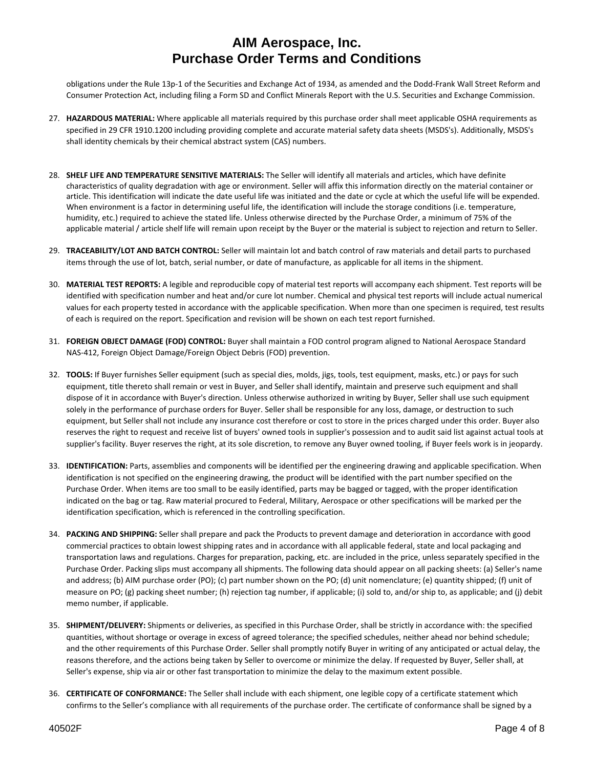obligations under the Rule 13p‐1 of the Securities and Exchange Act of 1934, as amended and the Dodd‐Frank Wall Street Reform and Consumer Protection Act, including filing a Form SD and Conflict Minerals Report with the U.S. Securities and Exchange Commission.

- 27. **HAZARDOUS MATERIAL:** Where applicable all materials required by this purchase order shall meet applicable OSHA requirements as specified in 29 CFR 1910.1200 including providing complete and accurate material safety data sheets (MSDS's). Additionally, MSDS's shall identity chemicals by their chemical abstract system (CAS) numbers.
- 28. **SHELF LIFE AND TEMPERATURE SENSITIVE MATERIALS:** The Seller will identify all materials and articles, which have definite characteristics of quality degradation with age or environment. Seller will affix this information directly on the material container or article. This identification will indicate the date useful life was initiated and the date or cycle at which the useful life will be expended. When environment is a factor in determining useful life, the identification will include the storage conditions (i.e. temperature, humidity, etc.) required to achieve the stated life. Unless otherwise directed by the Purchase Order, a minimum of 75% of the applicable material / article shelf life will remain upon receipt by the Buyer or the material is subject to rejection and return to Seller.
- 29. **TRACEABILITY/LOT AND BATCH CONTROL:** Seller will maintain lot and batch control of raw materials and detail parts to purchased items through the use of lot, batch, serial number, or date of manufacture, as applicable for all items in the shipment.
- 30. **MATERIAL TEST REPORTS:** A legible and reproducible copy of material test reports will accompany each shipment. Test reports will be identified with specification number and heat and/or cure lot number. Chemical and physical test reports will include actual numerical values for each property tested in accordance with the applicable specification. When more than one specimen is required, test results of each is required on the report. Specification and revision will be shown on each test report furnished.
- 31. **FOREIGN OBJECT DAMAGE (FOD) CONTROL:** Buyer shall maintain a FOD control program aligned to National Aerospace Standard NAS‐412, Foreign Object Damage/Foreign Object Debris (FOD) prevention.
- 32. **TOOLS:** If Buyer furnishes Seller equipment (such as special dies, molds, jigs, tools, test equipment, masks, etc.) or pays for such equipment, title thereto shall remain or vest in Buyer, and Seller shall identify, maintain and preserve such equipment and shall dispose of it in accordance with Buyer's direction. Unless otherwise authorized in writing by Buyer, Seller shall use such equipment solely in the performance of purchase orders for Buyer. Seller shall be responsible for any loss, damage, or destruction to such equipment, but Seller shall not include any insurance cost therefore or cost to store in the prices charged under this order. Buyer also reserves the right to request and receive list of buyers' owned tools in supplier's possession and to audit said list against actual tools at supplier's facility. Buyer reserves the right, at its sole discretion, to remove any Buyer owned tooling, if Buyer feels work is in jeopardy.
- 33. **IDENTIFICATION:** Parts, assemblies and components will be identified per the engineering drawing and applicable specification. When identification is not specified on the engineering drawing, the product will be identified with the part number specified on the Purchase Order. When items are too small to be easily identified, parts may be bagged or tagged, with the proper identification indicated on the bag or tag. Raw material procured to Federal, Military, Aerospace or other specifications will be marked per the identification specification, which is referenced in the controlling specification.
- 34. **PACKING AND SHIPPING:** Seller shall prepare and pack the Products to prevent damage and deterioration in accordance with good commercial practices to obtain lowest shipping rates and in accordance with all applicable federal, state and local packaging and transportation laws and regulations. Charges for preparation, packing, etc. are included in the price, unless separately specified in the Purchase Order. Packing slips must accompany all shipments. The following data should appear on all packing sheets: (a) Seller's name and address; (b) AIM purchase order (PO); (c) part number shown on the PO; (d) unit nomenclature; (e) quantity shipped; (f) unit of measure on PO; (g) packing sheet number; (h) rejection tag number, if applicable; (i) sold to, and/or ship to, as applicable; and (j) debit memo number, if applicable.
- 35. **SHIPMENT/DELIVERY:** Shipments or deliveries, as specified in this Purchase Order, shall be strictly in accordance with: the specified quantities, without shortage or overage in excess of agreed tolerance; the specified schedules, neither ahead nor behind schedule; and the other requirements of this Purchase Order. Seller shall promptly notify Buyer in writing of any anticipated or actual delay, the reasons therefore, and the actions being taken by Seller to overcome or minimize the delay. If requested by Buyer, Seller shall, at Seller's expense, ship via air or other fast transportation to minimize the delay to the maximum extent possible.
- 36. **CERTIFICATE OF CONFORMANCE:** The Seller shall include with each shipment, one legible copy of a certificate statement which confirms to the Seller's compliance with all requirements of the purchase order. The certificate of conformance shall be signed by a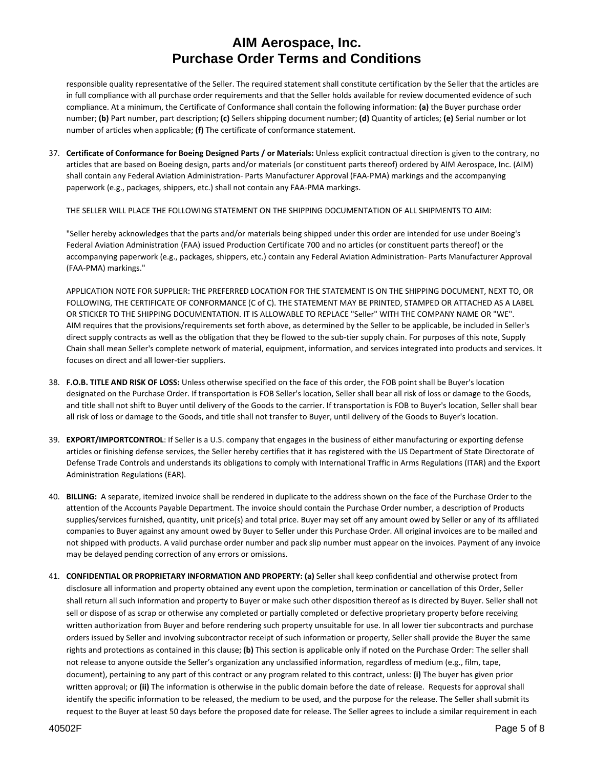responsible quality representative of the Seller. The required statement shall constitute certification by the Seller that the articles are in full compliance with all purchase order requirements and that the Seller holds available for review documented evidence of such compliance. At a minimum, the Certificate of Conformance shall contain the following information: **(a)** the Buyer purchase order number; **(b)** Part number, part description; **(c)** Sellers shipping document number; **(d)** Quantity of articles; **(e)** Serial number or lot number of articles when applicable; **(f)** The certificate of conformance statement.

37. **Certificate of Conformance for Boeing Designed Parts / or Materials:** Unless explicit contractual direction is given to the contrary, no articles that are based on Boeing design, parts and/or materials (or constituent parts thereof) ordered by AIM Aerospace, Inc. (AIM) shall contain any Federal Aviation Administration‐ Parts Manufacturer Approval (FAA‐PMA) markings and the accompanying paperwork (e.g., packages, shippers, etc.) shall not contain any FAA‐PMA markings.

THE SELLER WILL PLACE THE FOLLOWING STATEMENT ON THE SHIPPING DOCUMENTATION OF ALL SHIPMENTS TO AIM:

"Seller hereby acknowledges that the parts and/or materials being shipped under this order are intended for use under Boeing's Federal Aviation Administration (FAA) issued Production Certificate 700 and no articles (or constituent parts thereof) or the accompanying paperwork (e.g., packages, shippers, etc.) contain any Federal Aviation Administration‐ Parts Manufacturer Approval (FAA‐PMA) markings."

APPLICATION NOTE FOR SUPPLIER: THE PREFERRED LOCATION FOR THE STATEMENT IS ON THE SHIPPING DOCUMENT, NEXT TO, OR FOLLOWING, THE CERTIFICATE OF CONFORMANCE (C of C). THE STATEMENT MAY BE PRINTED, STAMPED OR ATTACHED AS A LABEL OR STICKER TO THE SHIPPING DOCUMENTATION. IT IS ALLOWABLE TO REPLACE "Seller" WITH THE COMPANY NAME OR "WE". AIM requires that the provisions/requirements set forth above, as determined by the Seller to be applicable, be included in Seller's direct supply contracts as well as the obligation that they be flowed to the sub-tier supply chain. For purposes of this note, Supply Chain shall mean Seller's complete network of material, equipment, information, and services integrated into products and services. It focuses on direct and all lower‐tier suppliers.

- 38. **F.O.B. TITLE AND RISK OF LOSS:** Unless otherwise specified on the face of this order, the FOB point shall be Buyer's location designated on the Purchase Order. If transportation is FOB Seller's location, Seller shall bear all risk of loss or damage to the Goods, and title shall not shift to Buyer until delivery of the Goods to the carrier. If transportation is FOB to Buyer's location, Seller shall bear all risk of loss or damage to the Goods, and title shall not transfer to Buyer, until delivery of the Goods to Buyer's location.
- 39. **EXPORT/IMPORTCONTROL**: If Seller is a U.S. company that engages in the business of either manufacturing or exporting defense articles or finishing defense services, the Seller hereby certifies that it has registered with the US Department of State Directorate of Defense Trade Controls and understands its obligations to comply with International Traffic in Arms Regulations (ITAR) and the Export Administration Regulations (EAR).
- 40. **BILLING:** A separate, itemized invoice shall be rendered in duplicate to the address shown on the face of the Purchase Order to the attention of the Accounts Payable Department. The invoice should contain the Purchase Order number, a description of Products supplies/services furnished, quantity, unit price(s) and total price. Buyer may set off any amount owed by Seller or any of its affiliated companies to Buyer against any amount owed by Buyer to Seller under this Purchase Order. All original invoices are to be mailed and not shipped with products. A valid purchase order number and pack slip number must appear on the invoices. Payment of any invoice may be delayed pending correction of any errors or omissions.
- 41. **CONFIDENTIAL OR PROPRIETARY INFORMATION AND PROPERTY: (a)** Seller shall keep confidential and otherwise protect from disclosure all information and property obtained any event upon the completion, termination or cancellation of this Order, Seller shall return all such information and property to Buyer or make such other disposition thereof as is directed by Buyer. Seller shall not sell or dispose of as scrap or otherwise any completed or partially completed or defective proprietary property before receiving written authorization from Buyer and before rendering such property unsuitable for use. In all lower tier subcontracts and purchase orders issued by Seller and involving subcontractor receipt of such information or property, Seller shall provide the Buyer the same rights and protections as contained in this clause; **(b)** This section is applicable only if noted on the Purchase Order: The seller shall not release to anyone outside the Seller's organization any unclassified information, regardless of medium (e.g., film, tape, document), pertaining to any part of this contract or any program related to this contract, unless: **(i)** The buyer has given prior written approval; or **(ii)** The information is otherwise in the public domain before the date of release. Requests for approval shall identify the specific information to be released, the medium to be used, and the purpose for the release. The Seller shall submit its request to the Buyer at least 50 days before the proposed date for release. The Seller agrees to include a similar requirement in each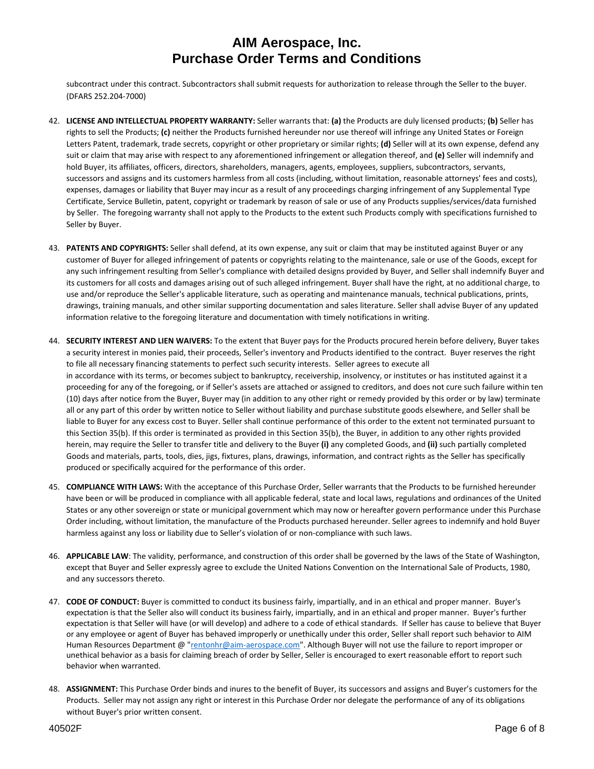subcontract under this contract. Subcontractors shall submit requests for authorization to release through the Seller to the buyer. (DFARS 252.204‐7000)

- 42. **LICENSE AND INTELLECTUAL PROPERTY WARRANTY:** Seller warrants that: **(a)** the Products are duly licensed products; **(b)** Seller has rights to sell the Products; **(c)** neither the Products furnished hereunder nor use thereof will infringe any United States or Foreign Letters Patent, trademark, trade secrets, copyright or other proprietary or similar rights; **(d)** Seller will at its own expense, defend any suit or claim that may arise with respect to any aforementioned infringement or allegation thereof, and **(e)** Seller will indemnify and hold Buyer, its affiliates, officers, directors, shareholders, managers, agents, employees, suppliers, subcontractors, servants, successors and assigns and its customers harmless from all costs (including, without limitation, reasonable attorneys' fees and costs), expenses, damages or liability that Buyer may incur as a result of any proceedings charging infringement of any Supplemental Type Certificate, Service Bulletin, patent, copyright or trademark by reason of sale or use of any Products supplies/services/data furnished by Seller. The foregoing warranty shall not apply to the Products to the extent such Products comply with specifications furnished to Seller by Buyer.
- 43. **PATENTS AND COPYRIGHTS:** Seller shall defend, at its own expense, any suit or claim that may be instituted against Buyer or any customer of Buyer for alleged infringement of patents or copyrights relating to the maintenance, sale or use of the Goods, except for any such infringement resulting from Seller's compliance with detailed designs provided by Buyer, and Seller shall indemnify Buyer and its customers for all costs and damages arising out of such alleged infringement. Buyer shall have the right, at no additional charge, to use and/or reproduce the Seller's applicable literature, such as operating and maintenance manuals, technical publications, prints, drawings, training manuals, and other similar supporting documentation and sales literature. Seller shall advise Buyer of any updated information relative to the foregoing literature and documentation with timely notifications in writing.
- 44. **SECURITY INTEREST AND LIEN WAIVERS:** To the extent that Buyer pays for the Products procured herein before delivery, Buyer takes a security interest in monies paid, their proceeds, Seller's inventory and Products identified to the contract. Buyer reserves the right to file all necessary financing statements to perfect such security interests. Seller agrees to execute all in accordance with its terms, or becomes subject to bankruptcy, receivership, insolvency, or institutes or has instituted against it a proceeding for any of the foregoing, or if Seller's assets are attached or assigned to creditors, and does not cure such failure within ten (10) days after notice from the Buyer, Buyer may (in addition to any other right or remedy provided by this order or by law) terminate all or any part of this order by written notice to Seller without liability and purchase substitute goods elsewhere, and Seller shall be liable to Buyer for any excess cost to Buyer. Seller shall continue performance of this order to the extent not terminated pursuant to this Section 35(b). If this order is terminated as provided in this Section 35(b), the Buyer, in addition to any other rights provided herein, may require the Seller to transfer title and delivery to the Buyer **(i)** any completed Goods, and **(ii)** such partially completed Goods and materials, parts, tools, dies, jigs, fixtures, plans, drawings, information, and contract rights as the Seller has specifically produced or specifically acquired for the performance of this order.
- 45. **COMPLIANCE WITH LAWS:** With the acceptance of this Purchase Order, Seller warrants that the Products to be furnished hereunder have been or will be produced in compliance with all applicable federal, state and local laws, regulations and ordinances of the United States or any other sovereign or state or municipal government which may now or hereafter govern performance under this Purchase Order including, without limitation, the manufacture of the Products purchased hereunder. Seller agrees to indemnify and hold Buyer harmless against any loss or liability due to Seller's violation of or non-compliance with such laws.
- 46. **APPLICABLE LAW**: The validity, performance, and construction of this order shall be governed by the laws of the State of Washington, except that Buyer and Seller expressly agree to exclude the United Nations Convention on the International Sale of Products, 1980, and any successors thereto.
- 47. **CODE OF CONDUCT:** Buyer is committed to conduct its business fairly, impartially, and in an ethical and proper manner. Buyer's expectation is that the Seller also will conduct its business fairly, impartially, and in an ethical and proper manner. Buyer's further expectation is that Seller will have (or will develop) and adhere to a code of ethical standards. If Seller has cause to believe that Buyer or any employee or agent of Buyer has behaved improperly or unethically under this order, Seller shall report such behavior to AIM Human Resources Department @ "rentonhr@aim‐aerospace.com". Although Buyer will not use the failure to report improper or unethical behavior as a basis for claiming breach of order by Seller, Seller is encouraged to exert reasonable effort to report such behavior when warranted.
- 48. **ASSIGNMENT:** This Purchase Order binds and inures to the benefit of Buyer, its successors and assigns and Buyer's customers for the Products. Seller may not assign any right or interest in this Purchase Order nor delegate the performance of any of its obligations without Buyer's prior written consent.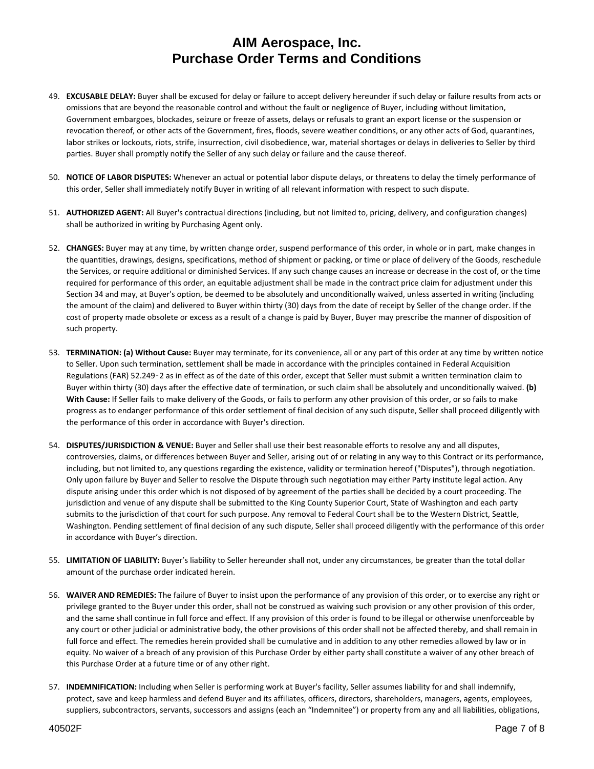- 49. **EXCUSABLE DELAY:** Buyer shall be excused for delay or failure to accept delivery hereunder if such delay or failure results from acts or omissions that are beyond the reasonable control and without the fault or negligence of Buyer, including without limitation, Government embargoes, blockades, seizure or freeze of assets, delays or refusals to grant an export license or the suspension or revocation thereof, or other acts of the Government, fires, floods, severe weather conditions, or any other acts of God, quarantines, labor strikes or lockouts, riots, strife, insurrection, civil disobedience, war, material shortages or delays in deliveries to Seller by third parties. Buyer shall promptly notify the Seller of any such delay or failure and the cause thereof.
- 50. **NOTICE OF LABOR DISPUTES:** Whenever an actual or potential labor dispute delays, or threatens to delay the timely performance of this order, Seller shall immediately notify Buyer in writing of all relevant information with respect to such dispute.
- 51. **AUTHORIZED AGENT:** All Buyer's contractual directions (including, but not limited to, pricing, delivery, and configuration changes) shall be authorized in writing by Purchasing Agent only.
- 52. **CHANGES:** Buyer may at any time, by written change order, suspend performance of this order, in whole or in part, make changes in the quantities, drawings, designs, specifications, method of shipment or packing, or time or place of delivery of the Goods, reschedule the Services, or require additional or diminished Services. If any such change causes an increase or decrease in the cost of, or the time required for performance of this order, an equitable adjustment shall be made in the contract price claim for adjustment under this Section 34 and may, at Buyer's option, be deemed to be absolutely and unconditionally waived, unless asserted in writing (including the amount of the claim) and delivered to Buyer within thirty (30) days from the date of receipt by Seller of the change order. If the cost of property made obsolete or excess as a result of a change is paid by Buyer, Buyer may prescribe the manner of disposition of such property.
- 53. **TERMINATION: (a) Without Cause:** Buyer may terminate, for its convenience, all or any part of this order at any time by written notice to Seller. Upon such termination, settlement shall be made in accordance with the principles contained in Federal Acquisition Regulations (FAR) 52.249‑2 as in effect as of the date of this order, except that Seller must submit a written termination claim to Buyer within thirty (30) days after the effective date of termination, or such claim shall be absolutely and unconditionally waived. **(b) With Cause:** If Seller fails to make delivery of the Goods, or fails to perform any other provision of this order, or so fails to make progress as to endanger performance of this order settlement of final decision of any such dispute, Seller shall proceed diligently with the performance of this order in accordance with Buyer's direction.
- 54. **DISPUTES/JURISDICTION & VENUE:** Buyer and Seller shall use their best reasonable efforts to resolve any and all disputes, controversies, claims, or differences between Buyer and Seller, arising out of or relating in any way to this Contract or its performance, including, but not limited to, any questions regarding the existence, validity or termination hereof ("Disputes"), through negotiation. Only upon failure by Buyer and Seller to resolve the Dispute through such negotiation may either Party institute legal action. Any dispute arising under this order which is not disposed of by agreement of the parties shall be decided by a court proceeding. The jurisdiction and venue of any dispute shall be submitted to the King County Superior Court, State of Washington and each party submits to the jurisdiction of that court for such purpose. Any removal to Federal Court shall be to the Western District, Seattle, Washington. Pending settlement of final decision of any such dispute, Seller shall proceed diligently with the performance of this order in accordance with Buyer's direction.
- 55. **LIMITATION OF LIABILITY:** Buyer's liability to Seller hereunder shall not, under any circumstances, be greater than the total dollar amount of the purchase order indicated herein.
- 56. **WAIVER AND REMEDIES:** The failure of Buyer to insist upon the performance of any provision of this order, or to exercise any right or privilege granted to the Buyer under this order, shall not be construed as waiving such provision or any other provision of this order, and the same shall continue in full force and effect. If any provision of this order is found to be illegal or otherwise unenforceable by any court or other judicial or administrative body, the other provisions of this order shall not be affected thereby, and shall remain in full force and effect. The remedies herein provided shall be cumulative and in addition to any other remedies allowed by law or in equity. No waiver of a breach of any provision of this Purchase Order by either party shall constitute a waiver of any other breach of this Purchase Order at a future time or of any other right.
- 57. **INDEMNIFICATION:** Including when Seller is performing work at Buyer's facility, Seller assumes liability for and shall indemnify, protect, save and keep harmless and defend Buyer and its affiliates, officers, directors, shareholders, managers, agents, employees, suppliers, subcontractors, servants, successors and assigns (each an "Indemnitee") or property from any and all liabilities, obligations,